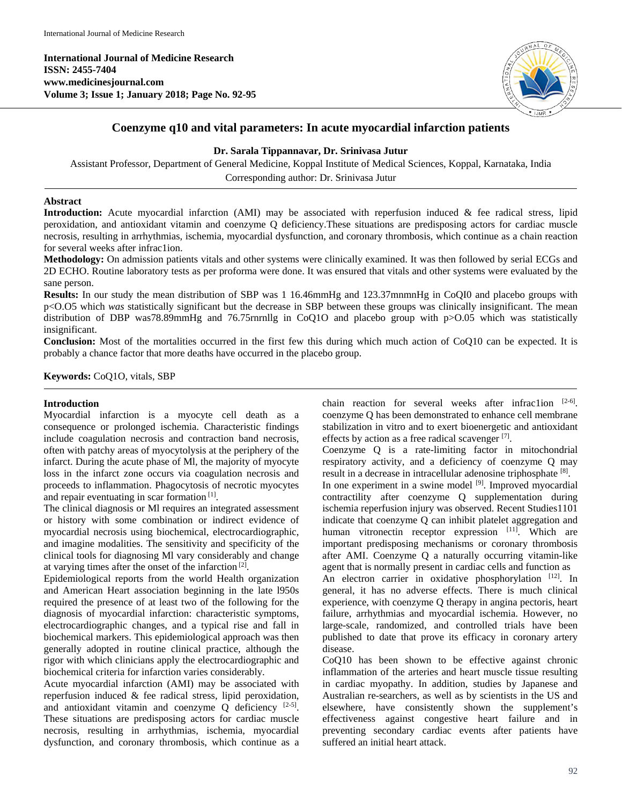**International Journal of Medicine Research ISSN: 2455-7404 www.medicinesjournal.com Volume 3; Issue 1; January 2018; Page No. 92-95**



# **Coenzyme q10 and vital parameters: In acute myocardial infarction patients**

# **Dr. Sarala Tippannavar, Dr. Srinivasa Jutur**

Assistant Professor, Department of General Medicine, Koppal Institute of Medical Sciences, Koppal, Karnataka, India Corresponding author: Dr. Srinivasa Jutur

## **Abstract**

**Introduction:** Acute myocardial infarction (AMI) may be associated with reperfusion induced & fee radical stress, lipid peroxidation, and antioxidant vitamin and coenzyme Q deficiency.These situations are predisposing actors for cardiac muscle necrosis, resulting in arrhythmias, ischemia, myocardial dysfunction, and coronary thrombosis, which continue as a chain reaction for several weeks after infrac1ion.

**Methodology:** On admission patients vitals and other systems were clinically examined. It was then followed by serial ECGs and 2D ECHO. Routine laboratory tests as per proforma were done. It was ensured that vitals and other systems were evaluated by the sane person.

**Results:** In our study the mean distribution of SBP was 1 16.46mmHg and 123.37mnmnHg in CoQI0 and placebo groups with p<O.O5 which *was* statistically significant but the decrease in SBP between these groups was clinically insignificant. The mean distribution of DBP was78.89mmHg and 76.75rnrnllg in CoQ1O and placebo group with p>O.05 which was statistically insignificant.

**Conclusion:** Most of the mortalities occurred in the first few this during which much action of CoQ10 can be expected. It is probably a chance factor that more deaths have occurred in the placebo group.

**Keywords:** CoQ1O, vitals, SBP

## **Introduction**

Myocardial infarction is a myocyte cell death as a consequence or prolonged ischemia. Characteristic findings include coagulation necrosis and contraction band necrosis, often with patchy areas of myocytolysis at the periphery of the infarct. During the acute phase of Ml, the majority of myocyte loss in the infarct zone occurs via coagulation necrosis and proceeds to inflammation. Phagocytosis of necrotic myocytes and repair eventuating in scar formation<sup>[1]</sup>.

The clinical diagnosis or Ml requires an integrated assessment or history with some combination or indirect evidence of myocardial necrosis using biochemical, electrocardiographic, and imagine modalities. The sensitivity and specificity of the clinical tools for diagnosing Ml vary considerably and change at varying times after the onset of the infarction<sup>[2]</sup>.

Epidemiological reports from the world Health organization and American Heart association beginning in the late l950s required the presence of at least two of the following for the diagnosis of myocardial infarction: characteristic symptoms, electrocardiographic changes, and a typical rise and fall in biochemical markers. This epidemiological approach was then generally adopted in routine clinical practice, although the rigor with which clinicians apply the electrocardiographic and biochemical criteria for infarction varies considerably.

Acute myocardial infarction (AMI) may be associated with reperfusion induced & fee radical stress, lipid peroxidation, and antioxidant vitamin and coenzyme  $Q$  deficiency  $[2-5]$ . These situations are predisposing actors for cardiac muscle necrosis, resulting in arrhythmias, ischemia, myocardial dysfunction, and coronary thrombosis, which continue as a

chain reaction for several weeks after infrac1ion [2-6]. coenzyme Q has been demonstrated to enhance cell membrane stabilization in vitro and to exert bioenergetic and antioxidant effects by action as a free radical scavenger [7].

Coenzyme Q is a rate-limiting factor in mitochondrial respiratory activity, and a deficiency of coenzyme Q may result in a decrease in intracellular adenosine triphosphate [8].

In one experiment in a swine model  $[9]$ . Improved myocardial contractility after coenzyme Q supplementation during ischemia reperfusion injury was observed. Recent Studies1101 indicate that coenzyme Q can inhibit platelet aggregation and human vitronectin receptor expression [11]. Which are important predisposing mechanisms or coronary thrombosis after AMI. Coenzyme Q a naturally occurring vitamin-like agent that is normally present in cardiac cells and function as

An electron carrier in oxidative phosphorylation [12]. In general, it has no adverse effects. There is much clinical experience, with coenzyme Q therapy in angina pectoris, heart failure, arrhythmias and myocardial ischemia. However, no large-scale, randomized, and controlled trials have been published to date that prove its efficacy in coronary artery disease.

CoQ10 has been shown to be effective against chronic inflammation of the arteries and heart muscle tissue resulting in cardiac myopathy. In addition, studies by Japanese and Australian re-searchers, as well as by scientists in the US and elsewhere, have consistently shown the supplement's effectiveness against congestive heart failure and in preventing secondary cardiac events after patients have suffered an initial heart attack.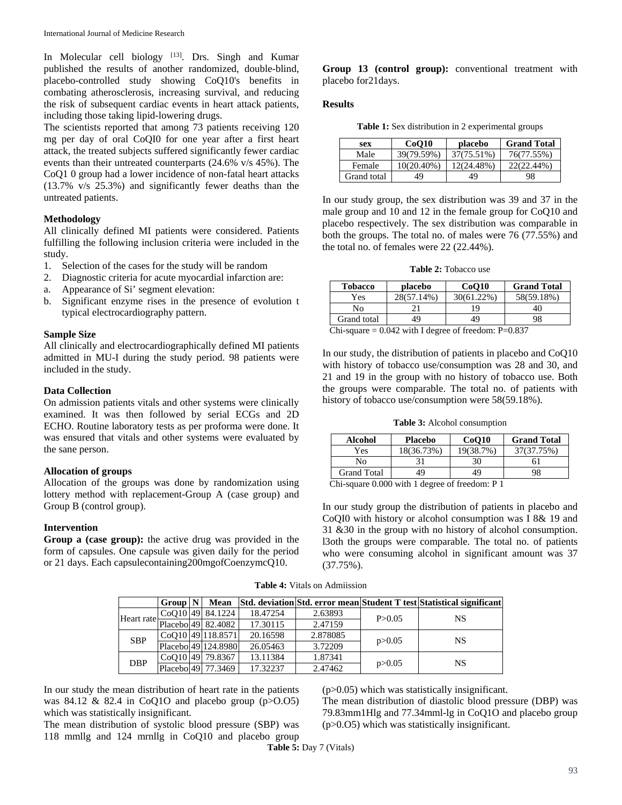In Molecular cell biology [13]. Drs. Singh and Kumar published the results of another randomized, double-blind, placebo-controlled study showing CoQ10's benefits in combating atherosclerosis, increasing survival, and reducing the risk of subsequent cardiac events in heart attack patients, including those taking lipid-lowering drugs.

The scientists reported that among 73 patients receiving 120 mg per day of oral CoQI0 for one year after a first heart attack, the treated subjects suffered significantly fewer cardiac events than their untreated counterparts (24.6% v/s 45%). The CoQ1 0 group had a lower incidence of non-fatal heart attacks (13.7% v/s 25.3%) and significantly fewer deaths than the untreated patients.

## **Methodology**

All clinically defined MI patients were considered. Patients fulfilling the following inclusion criteria were included in the study.

- 1. Selection of the cases for the study will be random
- 2. Diagnostic criteria for acute myocardial infarction are:
- a. Appearance of Si' segment elevation:
- b. Significant enzyme rises in the presence of evolution t typical electrocardiography pattern.

#### **Sample Size**

All clinically and electrocardiographically defined MI patients admitted in MU-I during the study period. 98 patients were included in the study.

## **Data Collection**

On admission patients vitals and other systems were clinically examined. It was then followed by serial ECGs and 2D ECHO. Routine laboratory tests as per proforma were done. It was ensured that vitals and other systems were evaluated by the sane person.

#### **Allocation of groups**

Allocation of the groups was done by randomization using lottery method with replacement-Group A (case group) and Group B (control group).

#### **Intervention**

**Group a (case group):** the active drug was provided in the form of capsules. One capsule was given daily for the period or 21 days. Each capsulecontaining200mgofCoenzymcQ10.

**Group 13 (control group):** conventional treatment with placebo for21days.

#### **Results**

**Table 1:** Sex distribution in 2 experimental groups

| sex         | CoO10         | placebo    | <b>Grand Total</b> |
|-------------|---------------|------------|--------------------|
| Male        | 39(79.59%)    | 37(75.51%) | 76(77.55%)         |
| Female      | $10(20.40\%)$ | 12(24.48%) | 22(22.44%)         |
| Grand total | 49            | 49         | 98                 |

In our study group, the sex distribution was 39 and 37 in the male group and 10 and 12 in the female group for CoQ10 and placebo respectively. The sex distribution was comparable in both the groups. The total no. of males were 76 (77.55%) and the total no. of females were 22 (22.44%).

**Table 2:** Tobacco use

| <b>Tobacco</b>                                         | placebo    | CoO10      | <b>Grand Total</b> |  |  |  |
|--------------------------------------------------------|------------|------------|--------------------|--|--|--|
| Yes                                                    | 28(57.14%) | 30(61.22%) | 58(59.18%)         |  |  |  |
| No                                                     |            | 19         | 40                 |  |  |  |
| Grand total<br>98<br>49<br>49                          |            |            |                    |  |  |  |
| Chi-square = $0.042$ with I degree of freedom: P=0.837 |            |            |                    |  |  |  |

In our study, the distribution of patients in placebo and CoQ10 with history of tobacco use/consumption was 28 and 30, and 21 and 19 in the group with no history of tobacco use. Both the groups were comparable. The total no. of patients with history of tobacco use/consumption were 58(59.18%).

**Table 3:** Alcohol consumption

| Alcohol                                                  | <b>Placebo</b> | CoO10     | <b>Grand Total</b> |
|----------------------------------------------------------|----------------|-----------|--------------------|
| Yes                                                      | 18(36.73%)     | 19(38.7%) | 37(37.75%)         |
| Nο                                                       |                | 30        | 61                 |
| <b>Grand Total</b>                                       | 49             | 49        | 98                 |
| $\Gamma$ bi-square 0.000 with 1 degree of freedom: $P_1$ |                |           |                    |

Chi-square 0.000 with 1 degree of freedom: P 1

In our study group the distribution of patients in placebo and CoQI0 with history or alcohol consumption was I 8& 19 and 31 &30 in the group with no history of alcohol consumption. l3oth the groups were comparable. The total no. of patients who were consuming alcohol in significant amount was 37 (37.75%).

|                                                                        | Group N | Mean                |          |          |          | Std. deviation Std. error mean Student T test Statistical significant |
|------------------------------------------------------------------------|---------|---------------------|----------|----------|----------|-----------------------------------------------------------------------|
| Heart rate $\boxed{\frac{1}{\text{Placebo}}\left  49 \right  82.4082}$ |         | CoO10 49 84.1224    | 18.47254 | 2.63893  | P > 0.05 | NS                                                                    |
|                                                                        |         |                     | 17.30115 | 2.47159  |          |                                                                       |
| <b>SBP</b>                                                             |         | CoO10 49 118.8571   | 20.16598 | 2.878085 |          | NS                                                                    |
|                                                                        |         | Placebol49 124,8980 | 26.05463 | 3.72209  | p > 0.05 |                                                                       |
| <b>DBP</b>                                                             |         | CoO10 49 79.8367    | 13.11384 | 1.87341  |          | NS                                                                    |
|                                                                        |         | Placebol 49 77.3469 | 17.32237 | 2.47462  | p > 0.05 |                                                                       |

**Table 4:** Vitals on Admiission

In our study the mean distribution of heart rate in the patients was 84.12 & 82.4 in CoQ1O and placebo group  $(p>0.05)$ which was statistically insignificant.

The mean distribution of systolic blood pressure (SBP) was 118 mmllg and 124 mrnllg in CoQ10 and placebo group (p>0.05) which was statistically insignificant.

The mean distribution of diastolic blood pressure (DBP) was 79.83mm1Hlg and 77.34mml-lg in CoQ1O and placebo group (p>0.O5) which was statistically insignificant.

**Table 5:** Day 7 (Vitals)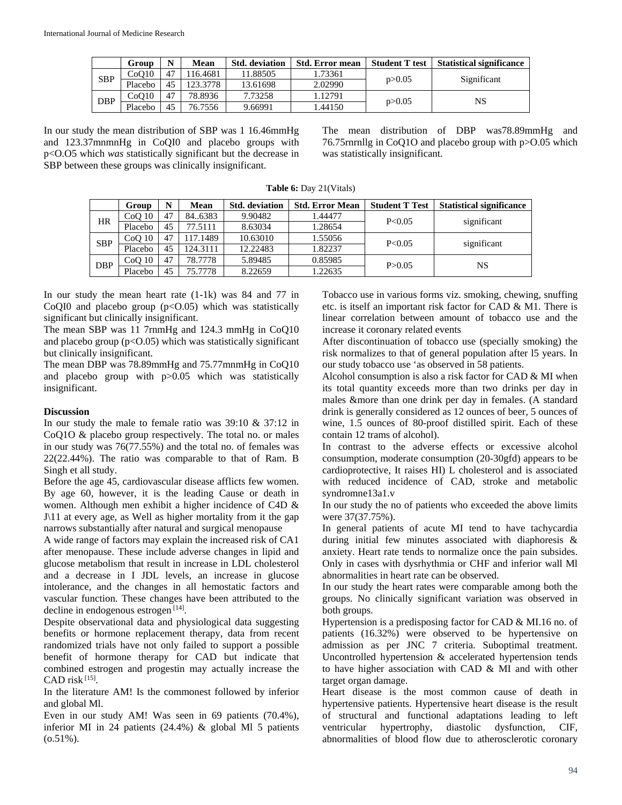|            | Group   | N  | Mean     | <b>Std.</b> deviation | <b>Std. Error mean</b> | <b>Student T test</b> | <b>Statistical significance</b> |
|------------|---------|----|----------|-----------------------|------------------------|-----------------------|---------------------------------|
| <b>SBP</b> | CoO10   | 47 | 16.4681  | 11.88505              | .73361                 | p > 0.05              | Significant                     |
|            | Placebo | 45 | 123.3778 | 13.61698              | 2.02990                |                       |                                 |
| <b>DBP</b> | CoO10   | 47 | 78.8936  | 7.73258               | .12791                 |                       | NS                              |
|            | Placebo | 45 | 76.7556  | 9.66991               | .44150                 | p > 0.05              |                                 |

In our study the mean distribution of SBP was 1 16.46mmHg and 123.37mnmnHg in CoQI0 and placebo groups with p<O.O5 which *was* statistically significant but the decrease in SBP between these groups was clinically insignificant.

The mean distribution of DBP was78.89mmHg and 76.75rnrnllg in CoQ1O and placebo group with p>O.05 which was statistically insignificant.

|            | Group             | N  | Mean     | <b>Std.</b> deviation | <b>Std. Error Mean</b> | <b>Student T Test</b> | <b>Statistical significance</b> |
|------------|-------------------|----|----------|-----------------------|------------------------|-----------------------|---------------------------------|
| HR         | CoO <sub>10</sub> | 47 | 84.6383  | 9.90482               | 1.44477                | P<0.05                | significant                     |
|            | Placebo           | 45 | 77.5111  | 8.63034               | 1.28654                |                       |                                 |
| <b>SBP</b> | CoO <sub>10</sub> | 47 | 117.1489 | 10.63010              | 1.55056                | P<0.05                | significant                     |
|            | Placebo           | 45 | 124.3111 | 12.22483              | 1.82237                |                       |                                 |
| <b>DBP</b> | CoO <sub>10</sub> | 47 | 78.7778  | 5.89485               | 0.85985                | P > 0.05              | NS                              |
|            | Placebo           | 45 | 75.7778  | 8.22659               | 1.22635                |                       |                                 |

**Table 6:** Day 21(Vitals)

In our study the mean heart rate (1-1k) was 84 and 77 in CoQI0 and placebo group  $(p< 0.05)$  which was statistically significant but clinically insignificant.

The mean SBP was 11 7rnmHg and 124.3 mmHg in CoQ10 and placebo group ( $p < 0.05$ ) which was statistically significant but clinically insignificant.

The mean DBP was 78.89mmHg and 75.77mnmHg in CoQ10 and placebo group with p>0.05 which was statistically insignificant.

#### **Discussion**

In our study the male to female ratio was 39:10 & 37:12 in CoQ1O & placebo group respectively. The total no. or males in our study was 76(77.55%) and the total no. of females was 22(22.44%). The ratio was comparable to that of Ram. B Singh et all study.

Before the age 45, cardiovascular disease afflicts few women. By age 60, however, it is the leading Cause or death in women. Although men exhibit a higher incidence of C4D & J\11 at every age, as Well as higher mortality from it the gap narrows substantially after natural and surgical menopause

A wide range of factors may explain the increased risk of CA1 after menopause. These include adverse changes in lipid and glucose metabolism that result in increase in LDL cholesterol and a decrease in I JDL levels, an increase in glucose intolerance, and the changes in all hemostatic factors and vascular function. These changes have been attributed to the decline in endogenous estrogen<sup>[14]</sup>.

Despite observational data and physiological data suggesting benefits or hormone replacement therapy, data from recent randomized trials have not only failed to support a possible benefit of hormone therapy for CAD but indicate that combined estrogen and progestin may actually increase the  $CAD$  risk [15].

In the literature AM! Is the commonest followed by inferior and global Ml.

Even in our study AM! Was seen in 69 patients (70.4%), inferior MI in 24 patients (24.4%) & global Ml 5 patients  $(0.51\%).$ 

Tobacco use in various forms viz. smoking, chewing, snuffing etc. is itself an important risk factor for CAD & M1. There is linear correlation between amount of tobacco use and the increase it coronary related events

After discontinuation of tobacco use (specially smoking) the risk normalizes to that of general population after l5 years. In our study tobacco use 'as observed in 58 patients.

Alcohol consumption is also a risk factor for CAD & MI when its total quantity exceeds more than two drinks per day in males &more than one drink per day in females. (A standard drink is generally considered as 12 ounces of beer, 5 ounces of wine, 1.5 ounces of 80-proof distilled spirit. Each of these contain 12 trams of alcohol).

In contrast to the adverse effects or excessive alcohol consumption, moderate consumption (20-30gfd) appears to be cardioprotective, It raises HI) L cholesterol and is associated with reduced incidence of CAD, stroke and metabolic syndromne13a1.v

In our study the no of patients who exceeded the above limits were 37(37.75%).

In general patients of acute MI tend to have tachycardia during initial few minutes associated with diaphoresis & anxiety. Heart rate tends to normalize once the pain subsides. Only in cases with dysrhythmia or CHF and inferior wall Ml abnormalities in heart rate can be observed.

In our study the heart rates were comparable among both the groups. No clinically significant variation was observed in both groups.

Hypertension is a predisposing factor for CAD & MI.16 no. of patients (16.32%) were observed to be hypertensive on admission as per JNC 7 criteria. Suboptimal treatment. Uncontrolled hypertension & accelerated hypertension tends to have higher association with CAD & MI and with other target organ damage.

Heart disease is the most common cause of death in hypertensive patients. Hypertensive heart disease is the result of structural and functional adaptations leading to left ventricular hypertrophy, diastolic dysfunction, CIF, abnormalities of blood flow due to atherosclerotic coronary